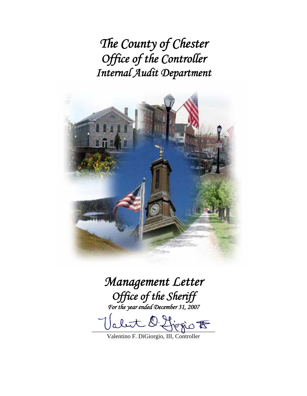*The County of Chester Office of the Controller Internal Audit Department* 



# *Management Letter Office of the Sheriff*

*For the year ended December 31, 2007* 

abut D. Higgio F

Valentino F. DiGiorgio, III, Controller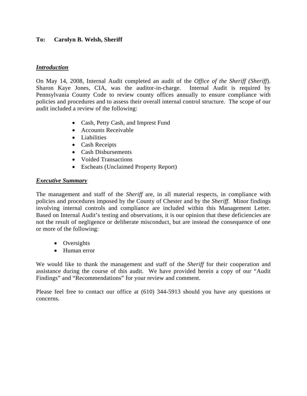## **To: Carolyn B. Welsh, Sheriff**

#### *Introduction*

On May 14, 2008, Internal Audit completed an audit of the *Office of the Sheriff (Sheriff*). Sharon Kaye Jones, CIA, was the auditor-in-charge. Internal Audit is required by Pennsylvania County Code to review county offices annually to ensure compliance with policies and procedures and to assess their overall internal control structure. The scope of our audit included a review of the following:

- Cash, Petty Cash, and Imprest Fund
- Accounts Receivable
- Liabilities
- Cash Receipts
- Cash Disbursements
- Voided Transactions
- Escheats (Unclaimed Property Report)

## *Executive Summary*

The management and staff of the *Sheriff* are, in all material respects, in compliance with policies and procedures imposed by the County of Chester and by the *Sheriff*. Minor findings involving internal controls and compliance are included within this Management Letter. Based on Internal Audit's testing and observations, it is our opinion that these deficiencies are not the result of negligence or deliberate misconduct, but are instead the consequence of one or more of the following:

- Oversights
- Human error

We would like to thank the management and staff of the *Sheriff* for their cooperation and assistance during the course of this audit. We have provided herein a copy of our "Audit Findings" and "Recommendations" for your review and comment.

Please feel free to contact our office at (610) 344-5913 should you have any questions or concerns.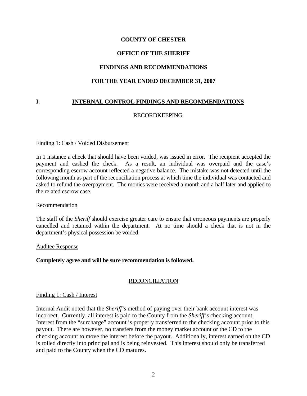## **OFFICE OF THE SHERIFF**

## **FINDINGS AND RECOMMENDATIONS**

#### **FOR THE YEAR ENDED DECEMBER 31, 2007**

# **I. INTERNAL CONTROL FINDINGS AND RECOMMENDATIONS**

## RECORDKEEPING

#### Finding 1: Cash / Voided Disbursement

In 1 instance a check that should have been voided, was issued in error. The recipient accepted the payment and cashed the check. As a result, an individual was overpaid and the case's corresponding escrow account reflected a negative balance. The mistake was not detected until the following month as part of the reconciliation process at which time the individual was contacted and asked to refund the overpayment. The monies were received a month and a half later and applied to the related escrow case.

#### Recommendation

The staff of the *Sheriff* should exercise greater care to ensure that erroneous payments are properly cancelled and retained within the department. At no time should a check that is not in the department's physical possession be voided.

#### Auditee Response

#### **Completely agree and will be sure recommendation is followed.**

#### RECONCILIATION

#### Finding 1: Cash / Interest

Internal Audit noted that the *Sheriff's* method of paying over their bank account interest was incorrect. Currently, all interest is paid to the County from the *Sheriff's* checking account. Interest from the "surcharge" account is properly transferred to the checking account prior to this payout. There are however, no transfers from the money market account or the CD to the checking account to move the interest before the payout. Additionally, interest earned on the CD is rolled directly into principal and is being reinvested. This interest should only be transferred and paid to the County when the CD matures.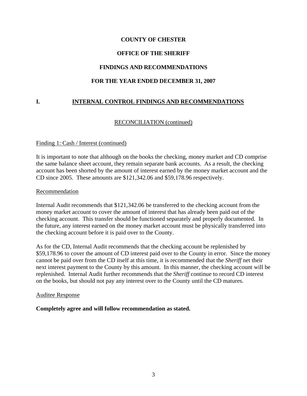# **OFFICE OF THE SHERIFF**

## **FINDINGS AND RECOMMENDATIONS**

#### **FOR THE YEAR ENDED DECEMBER 31, 2007**

# **I. INTERNAL CONTROL FINDINGS AND RECOMMENDATIONS**

## RECONCILIATION (continued)

#### Finding 1: Cash / Interest (continued)

It is important to note that although on the books the checking, money market and CD comprise the same balance sheet account, they remain separate bank accounts. As a result, the checking account has been shorted by the amount of interest earned by the money market account and the CD since 2005. These amounts are \$121,342.06 and \$59,178.96 respectively.

#### Recommendation

Internal Audit recommends that \$121,342.06 be transferred to the checking account from the money market account to cover the amount of interest that has already been paid out of the checking account. This transfer should be functioned separately and properly documented. In the future, any interest earned on the money market account must be physically transferred into the checking account before it is paid over to the County.

As for the CD, Internal Audit recommends that the checking account be replenished by \$59,178.96 to cover the amount of CD interest paid over to the County in error. Since the money cannot be paid over from the CD itself at this time, it is recommended that the *Sheriff* net their next interest payment to the County by this amount. In this manner, the checking account will be replenished. Internal Audit further recommends that the *Sheriff* continue to record CD interest on the books, but should not pay any interest over to the County until the CD matures.

#### Auditee Response

#### **Completely agree and will follow recommendation as stated.**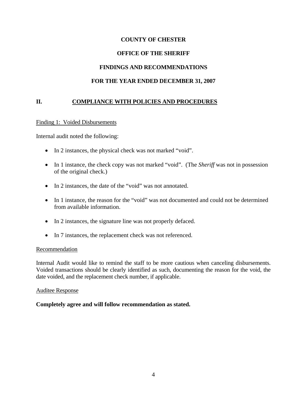## **OFFICE OF THE SHERIFF**

## **FINDINGS AND RECOMMENDATIONS**

## **FOR THE YEAR ENDED DECEMBER 31, 2007**

## **II. COMPLIANCE WITH POLICIES AND PROCEDURES**

#### Finding 1: Voided Disbursements

Internal audit noted the following:

- In 2 instances, the physical check was not marked "void".
- In 1 instance, the check copy was not marked "void". (The *Sheriff* was not in possession of the original check.)
- In 2 instances, the date of the "void" was not annotated.
- In 1 instance, the reason for the "void" was not documented and could not be determined from available information.
- In 2 instances, the signature line was not properly defaced.
- In 7 instances, the replacement check was not referenced.

#### Recommendation

Internal Audit would like to remind the staff to be more cautious when canceling disbursements. Voided transactions should be clearly identified as such, documenting the reason for the void, the date voided, and the replacement check number, if applicable.

#### Auditee Response

#### **Completely agree and will follow recommendation as stated.**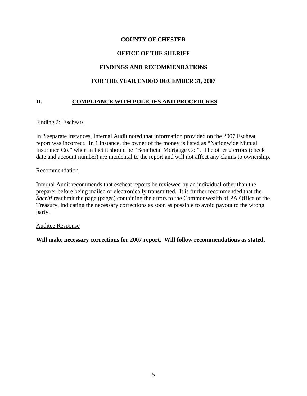# **OFFICE OF THE SHERIFF**

# **FINDINGS AND RECOMMENDATIONS**

# **FOR THE YEAR ENDED DECEMBER 31, 2007**

# **II. COMPLIANCE WITH POLICIES AND PROCEDURES**

#### Finding 2: Escheats

In 3 separate instances, Internal Audit noted that information provided on the 2007 Escheat report was incorrect. In 1 instance, the owner of the money is listed as "Nationwide Mutual Insurance Co." when in fact it should be "Beneficial Mortgage Co.". The other 2 errors (check date and account number) are incidental to the report and will not affect any claims to ownership.

#### Recommendation

Internal Audit recommends that escheat reports be reviewed by an individual other than the preparer before being mailed or electronically transmitted. It is further recommended that the *Sheriff* resubmit the page (pages) containing the errors to the Commonwealth of PA Office of the Treasury, indicating the necessary corrections as soon as possible to avoid payout to the wrong party.

#### Auditee Response

**Will make necessary corrections for 2007 report. Will follow recommendations as stated.**